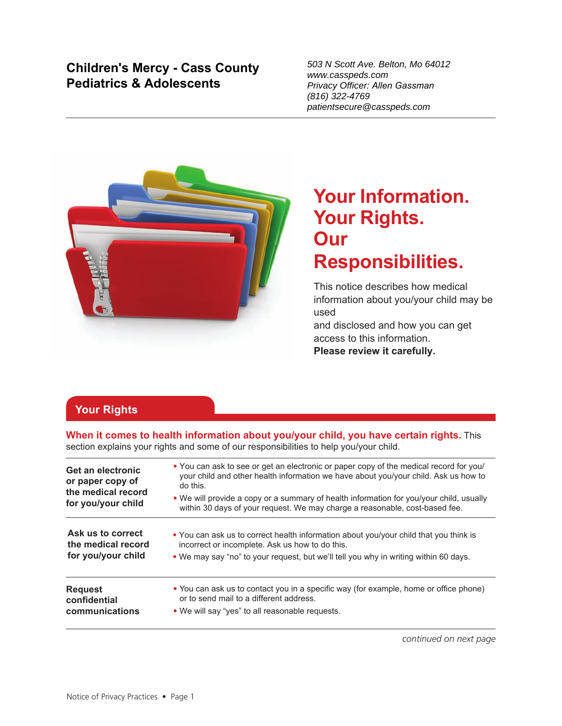# **Children's Mercy - Cass County Pediatrics & Adolescents**

503 N Scott Ave. Belton, Mo 64012 www.casspeds.com Privacy Officer: *Allen Gassman* (816) 322-4769 patientsecure@casspeds.com



# **Your Information. Your Rights. Our Responsibilities.**

This notice describes how medical information about you/your child may be used

and disclosed and how you can get access to this information. **Please review it carefully.**

# **Your Rights**

**When it comes to health information about you/your child, you have certain rights.** This section explains your rights and some of our responsibilities to help you/your child.

| Get an electronic<br>or paper copy of<br>the medical record<br>for you/your child | • You can ask to see or get an electronic or paper copy of the medical record for you/<br>your child and other health information we have about you/your child. Ask us how to<br>do this. |  |
|-----------------------------------------------------------------------------------|-------------------------------------------------------------------------------------------------------------------------------------------------------------------------------------------|--|
|                                                                                   | • We will provide a copy or a summary of health information for you/your child, usually<br>within 30 days of your request. We may charge a reasonable, cost-based fee.                    |  |
| Ask us to correct                                                                 | . You can ask us to correct health information about you/your child that you think is                                                                                                     |  |
| the medical record                                                                | incorrect or incomplete. Ask us how to do this.                                                                                                                                           |  |
| for you/your child                                                                | • We may say "no" to your request, but we'll tell you why in writing within 60 days.                                                                                                      |  |
| <b>Request</b>                                                                    | • You can ask us to contact you in a specific way (for example, home or office phone)                                                                                                     |  |
| confidential                                                                      | or to send mail to a different address.                                                                                                                                                   |  |
| communications                                                                    | • We will say "yes" to all reasonable requests.                                                                                                                                           |  |

*continued on next page*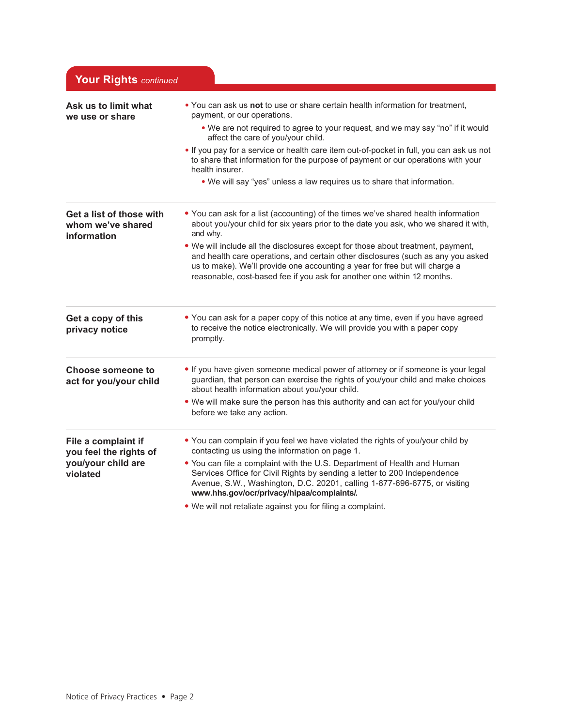| <b>Your Rights continued</b>                                 |                                                                                                                                                                                                                                                                                                                                |
|--------------------------------------------------------------|--------------------------------------------------------------------------------------------------------------------------------------------------------------------------------------------------------------------------------------------------------------------------------------------------------------------------------|
| Ask us to limit what<br>we use or share                      | . You can ask us not to use or share certain health information for treatment,<br>payment, or our operations.<br>. We are not required to agree to your request, and we may say "no" if it would<br>affect the care of you/your child.                                                                                         |
|                                                              | . If you pay for a service or health care item out-of-pocket in full, you can ask us not<br>to share that information for the purpose of payment or our operations with your<br>health insurer.                                                                                                                                |
|                                                              | . We will say "yes" unless a law requires us to share that information.                                                                                                                                                                                                                                                        |
| Get a list of those with<br>whom we've shared<br>information | • You can ask for a list (accounting) of the times we've shared health information<br>about you/your child for six years prior to the date you ask, who we shared it with,<br>and why.                                                                                                                                         |
|                                                              | . We will include all the disclosures except for those about treatment, payment,<br>and health care operations, and certain other disclosures (such as any you asked<br>us to make). We'll provide one accounting a year for free but will charge a<br>reasonable, cost-based fee if you ask for another one within 12 months. |
| Get a copy of this<br>privacy notice                         | • You can ask for a paper copy of this notice at any time, even if you have agreed<br>to receive the notice electronically. We will provide you with a paper copy<br>promptly.                                                                                                                                                 |
| <b>Choose someone to</b><br>act for you/your child           | . If you have given someone medical power of attorney or if someone is your legal<br>guardian, that person can exercise the rights of you/your child and make choices<br>about health information about you/your child.                                                                                                        |
|                                                              | . We will make sure the person has this authority and can act for you/your child<br>before we take any action.                                                                                                                                                                                                                 |
| File a complaint if<br>you feel the rights of                | • You can complain if you feel we have violated the rights of you/your child by<br>contacting us using the information on page 1.                                                                                                                                                                                              |
| you/your child are<br>violated                               | . You can file a complaint with the U.S. Department of Health and Human<br>Services Office for Civil Rights by sending a letter to 200 Independence<br>Avenue, S.W., Washington, D.C. 20201, calling 1-877-696-6775, or visiting<br>www.hhs.gov/ocr/privacy/hipaa/complaints/.                                                 |
|                                                              | . We will not retaliate against you for filing a complaint.                                                                                                                                                                                                                                                                    |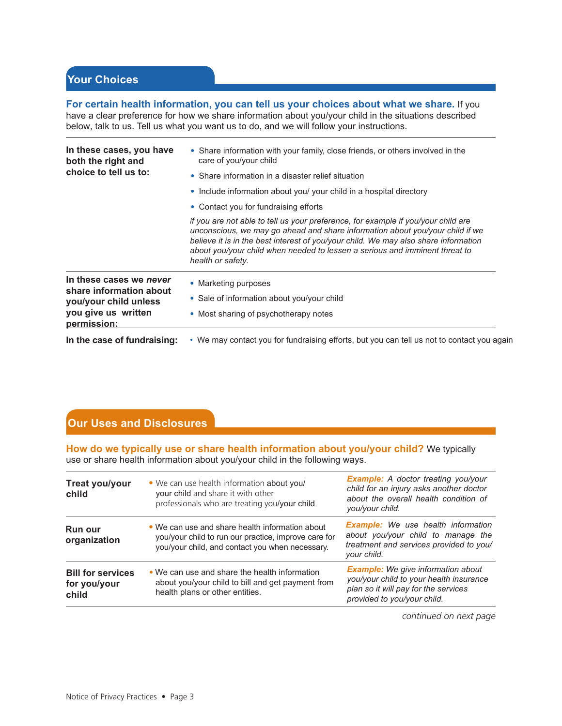### **Your Choices**

**For certain health information, you can tell us your choices about what we share.** If you have a clear preference for how we share information about you/your child in the situations described

below, talk to us. Tell us what you want us to do, and we will follow your instructions.

| In these cases, you have<br>both the right and              | • Share information with your family, close friends, or others involved in the<br>care of you/your child                                                                                                                                                                                                                                                      |  |
|-------------------------------------------------------------|---------------------------------------------------------------------------------------------------------------------------------------------------------------------------------------------------------------------------------------------------------------------------------------------------------------------------------------------------------------|--|
| choice to tell us to:                                       | • Share information in a disaster relief situation                                                                                                                                                                                                                                                                                                            |  |
|                                                             | • Include information about you/ your child in a hospital directory                                                                                                                                                                                                                                                                                           |  |
|                                                             | • Contact you for fundraising efforts                                                                                                                                                                                                                                                                                                                         |  |
|                                                             | If you are not able to tell us your preference, for example if you/your child are<br>unconscious, we may go ahead and share information about you/your child if we<br>believe it is in the best interest of you/your child. We may also share information<br>about you/your child when needed to lessen a serious and imminent threat to<br>health or safety. |  |
| In these cases we never<br>share information about          | • Marketing purposes                                                                                                                                                                                                                                                                                                                                          |  |
| you/your child unless<br>you give us written<br>permission: | • Sale of information about you/your child                                                                                                                                                                                                                                                                                                                    |  |
|                                                             | • Most sharing of psychotherapy notes                                                                                                                                                                                                                                                                                                                         |  |
| In the case of fundraising:                                 | • We may contact you for fundraising efforts, but you can tell us not to contact you again                                                                                                                                                                                                                                                                    |  |

### **Our Uses and Disclosures**

**How do we typically use or share health information about you/your child?** We typically use or share health information about you/your child in the following ways.

| Treat you/your<br>child                           | • We can use health information about you/<br>your child and share it with other<br>professionals who are treating you/your child.                         | <b>Example:</b> A doctor treating you/your<br>child for an injury asks another doctor<br>about the overall health condition of<br>you/your child.           |
|---------------------------------------------------|------------------------------------------------------------------------------------------------------------------------------------------------------------|-------------------------------------------------------------------------------------------------------------------------------------------------------------|
| <b>Run our</b><br>organization                    | • We can use and share health information about<br>you/your child to run our practice, improve care for<br>you/your child, and contact you when necessary. | <b>Example:</b> We use health information<br>about you/your child to manage the<br>treatment and services provided to you/<br>your child.                   |
| <b>Bill for services</b><br>for you/your<br>child | • We can use and share the health information<br>about you/your child to bill and get payment from<br>health plans or other entities.                      | <b>Example:</b> We give information about<br>you/your child to your health insurance<br>plan so it will pay for the services<br>provided to you/your child. |

*continued on next page*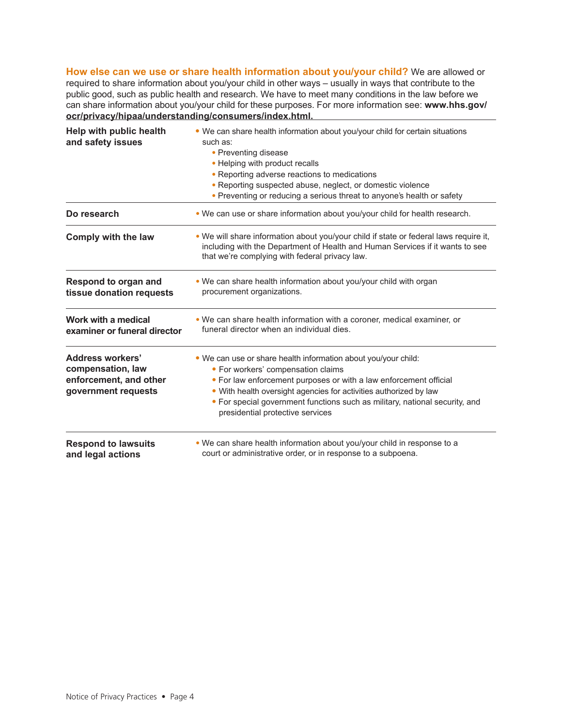**How else can we use or share health information about you/your child?** We are allowed or required to share information about you/your child in other ways – usually in ways that contribute to the public good, such as public health and research. We have to meet many conditions in the law before we can share information about you/your child for these purposes. For more information see: **www.hhs.gov/ ocr/privacy/hipaa/understanding/consumers/index.html.**

| Help with public health<br>and safety issues                                                  | . We can share health information about you/your child for certain situations<br>such as:<br>• Preventing disease<br>• Helping with product recalls<br>• Reporting adverse reactions to medications<br>• Reporting suspected abuse, neglect, or domestic violence<br>• Preventing or reducing a serious threat to anyone's health or safety                       |  |
|-----------------------------------------------------------------------------------------------|-------------------------------------------------------------------------------------------------------------------------------------------------------------------------------------------------------------------------------------------------------------------------------------------------------------------------------------------------------------------|--|
| Do research                                                                                   | . We can use or share information about you/your child for health research.                                                                                                                                                                                                                                                                                       |  |
| Comply with the law                                                                           | . We will share information about you/your child if state or federal laws require it,<br>including with the Department of Health and Human Services if it wants to see<br>that we're complying with federal privacy law.                                                                                                                                          |  |
| Respond to organ and<br>tissue donation requests                                              | • We can share health information about you/your child with organ<br>procurement organizations.                                                                                                                                                                                                                                                                   |  |
| Work with a medical<br>examiner or funeral director                                           | . We can share health information with a coroner, medical examiner, or<br>funeral director when an individual dies.                                                                                                                                                                                                                                               |  |
| <b>Address workers'</b><br>compensation, law<br>enforcement, and other<br>government requests | . We can use or share health information about you/your child:<br>• For workers' compensation claims<br>• For law enforcement purposes or with a law enforcement official<br>• With health oversight agencies for activities authorized by law<br>• For special government functions such as military, national security, and<br>presidential protective services |  |
| <b>Respond to lawsuits</b><br>and legal actions                                               | . We can share health information about you/your child in response to a<br>court or administrative order, or in response to a subpoena.                                                                                                                                                                                                                           |  |